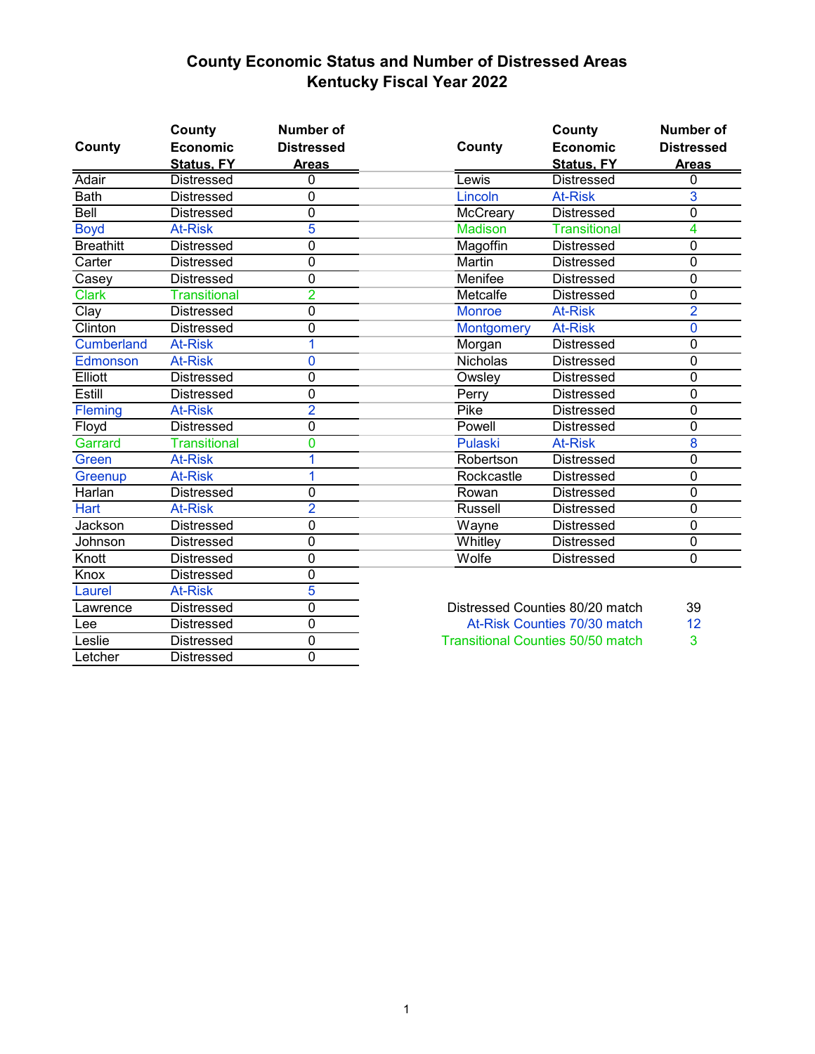## **County Economic Status and Number of Distressed Areas Kentucky Fiscal Year 2022**

| County            | County<br><b>Economic</b> | <b>Number of</b><br><b>Distressed</b> | County                          | County<br><b>Economic</b> | <b>Number of</b><br><b>Distressed</b> |
|-------------------|---------------------------|---------------------------------------|---------------------------------|---------------------------|---------------------------------------|
|                   | <b>Status, FY</b>         | <b>Areas</b>                          |                                 | <b>Status, FY</b>         | <b>Areas</b>                          |
| Adair             | <b>Distressed</b>         | 0                                     | Lewis                           | <b>Distressed</b>         | 0                                     |
| <b>Bath</b>       | Distressed                | $\mathbf 0$                           | Lincoln                         | <b>At-Risk</b>            | $\overline{3}$                        |
| Bell              | <b>Distressed</b>         | $\mathbf 0$                           | McCreary                        | <b>Distressed</b>         | 0                                     |
| <b>Boyd</b>       | <b>At-Risk</b>            | 5                                     | <b>Madison</b>                  | <b>Transitional</b>       | 4                                     |
| <b>Breathitt</b>  | <b>Distressed</b>         | $\mathbf 0$                           | Magoffin                        | Distressed                | 0                                     |
| Carter            | <b>Distressed</b>         | $\overline{0}$                        | Martin                          | Distressed                | 0                                     |
| Casey             | <b>Distressed</b>         | $\mathbf 0$                           | Menifee                         | <b>Distressed</b>         | $\mathbf 0$                           |
| <b>Clark</b>      | <b>Transitional</b>       | $\overline{2}$                        | Metcalfe                        | <b>Distressed</b>         | 0                                     |
| Clay              | <b>Distressed</b>         | $\mathbf 0$                           | <b>Monroe</b>                   | <b>At-Risk</b>            | $\overline{2}$                        |
| Clinton           | <b>Distressed</b>         | $\mathbf 0$                           | <b>Montgomery</b>               | <b>At-Risk</b>            | 0                                     |
| <b>Cumberland</b> | <b>At-Risk</b>            | 1                                     | Morgan                          | <b>Distressed</b>         | 0                                     |
| Edmonson          | <b>At-Risk</b>            | $\overline{0}$                        | <b>Nicholas</b>                 | Distressed                | $\overline{0}$                        |
| Elliott           | <b>Distressed</b>         | $\mathbf 0$                           | Owsley                          | <b>Distressed</b>         | 0                                     |
| Estill            | <b>Distressed</b>         | $\mathbf 0$                           | Perry                           | Distressed                | 0                                     |
| Fleming           | <b>At-Risk</b>            | $\overline{2}$                        | Pike                            | <b>Distressed</b>         | 0                                     |
| Floyd             | <b>Distressed</b>         | $\mathbf 0$                           | Powell                          | <b>Distressed</b>         | 0                                     |
| Garrard           | <b>Transitional</b>       | $\overline{0}$                        | Pulaski                         | <b>At-Risk</b>            | $\overline{\mathbf{8}}$               |
| Green             | <b>At-Risk</b>            | 1                                     | Robertson                       | <b>Distressed</b>         | 0                                     |
| Greenup           | <b>At-Risk</b>            | 1                                     | Rockcastle                      | <b>Distressed</b>         | 0                                     |
| Harlan            | <b>Distressed</b>         | $\mathbf 0$                           | Rowan                           | <b>Distressed</b>         | $\mathbf 0$                           |
| Hart              | <b>At-Risk</b>            | $\overline{2}$                        | Russell                         | <b>Distressed</b>         | 0                                     |
| Jackson           | <b>Distressed</b>         | $\mathbf 0$                           | Wayne                           | <b>Distressed</b>         | $\mathbf 0$                           |
| Johnson           | <b>Distressed</b>         | 0                                     | Whitley                         | <b>Distressed</b>         | 0                                     |
| Knott             | <b>Distressed</b>         | $\mathbf 0$                           | Wolfe                           | <b>Distressed</b>         | $\mathbf 0$                           |
| Knox              | Distressed                | $\overline{0}$                        |                                 |                           |                                       |
| Laurel            | <b>At-Risk</b>            | 5                                     |                                 |                           |                                       |
| Lawrence          | <b>Distressed</b>         | $\overline{0}$                        | Distressed Counties 80/20 match |                           | 39                                    |
| Lee               | <b>Distressed</b>         | $\overline{0}$                        | At-Risk Counties 70/30 match    |                           | 12                                    |

Leslie Distressed 0 3 Transitional Counties 50/50 match

Letcher Distressed 0